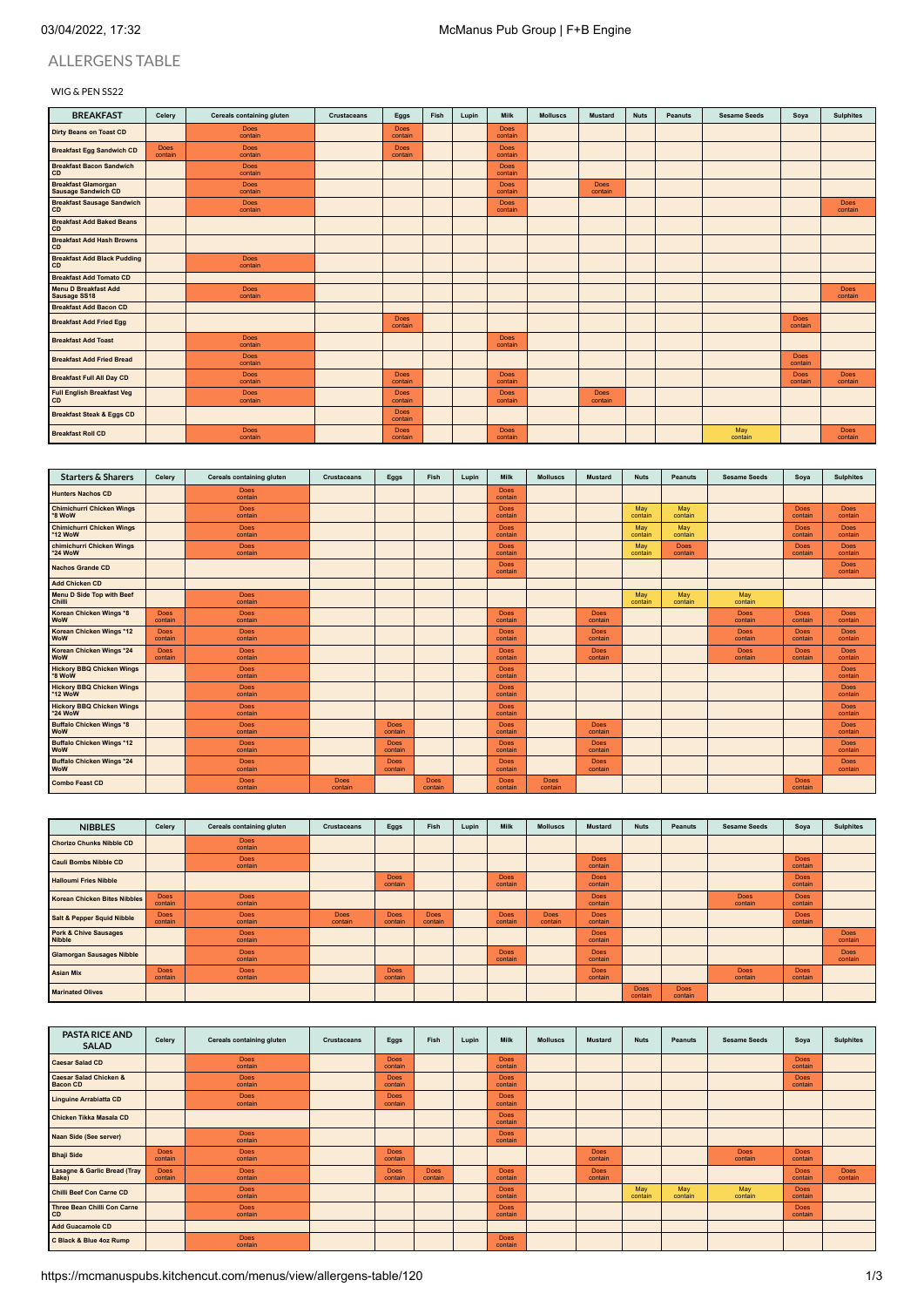# ALLERGENS TABLE

### WIG & PEN SS22

| <b>BREAKFAST</b>                                         | Celery          | Cereals containing gluten | <b>Crustaceans</b> | Eggs                   | Fish | Lupin | <b>Milk</b>            | <b>Molluscs</b> | <b>Mustard</b>         | <b>Nuts</b> | Peanuts | <b>Sesame Seeds</b> | Soya                   | <b>Sulphites</b>       |
|----------------------------------------------------------|-----------------|---------------------------|--------------------|------------------------|------|-------|------------------------|-----------------|------------------------|-------------|---------|---------------------|------------------------|------------------------|
| <b>Dirty Beans on Toast CD</b>                           |                 | <b>Does</b><br>contain    |                    | <b>Does</b><br>contain |      |       | <b>Does</b><br>contain |                 |                        |             |         |                     |                        |                        |
| <b>Breakfast Egg Sandwich CD</b>                         | Does<br>contain | Does<br>contain           |                    | <b>Does</b><br>contain |      |       | <b>Does</b><br>contain |                 |                        |             |         |                     |                        |                        |
| <b>Breakfast Bacon Sandwich</b><br>CD                    |                 | Does<br>contain           |                    |                        |      |       | <b>Does</b><br>contain |                 |                        |             |         |                     |                        |                        |
| <b>Breakfast Glamorgan</b><br><b>Sausage Sandwich CD</b> |                 | <b>Does</b><br>contain    |                    |                        |      |       | <b>Does</b><br>contain |                 | <b>Does</b><br>contain |             |         |                     |                        |                        |
| <b>Breakfast Sausage Sandwich</b><br>CD                  |                 | Does<br>contain           |                    |                        |      |       | <b>Does</b><br>contain |                 |                        |             |         |                     |                        | Does<br>contain        |
| <b>Breakfast Add Baked Beans</b><br>CD                   |                 |                           |                    |                        |      |       |                        |                 |                        |             |         |                     |                        |                        |
| <b>Breakfast Add Hash Browns</b><br>CD                   |                 |                           |                    |                        |      |       |                        |                 |                        |             |         |                     |                        |                        |
| <b>Breakfast Add Black Pudding</b><br>CD                 |                 | Does<br>contain           |                    |                        |      |       |                        |                 |                        |             |         |                     |                        |                        |
| <b>Breakfast Add Tomato CD</b>                           |                 |                           |                    |                        |      |       |                        |                 |                        |             |         |                     |                        |                        |
| <b>Menu D Breakfast Add</b><br>Sausage SS18              |                 | Does<br>contain           |                    |                        |      |       |                        |                 |                        |             |         |                     |                        | Does<br>contain        |
| <b>Breakfast Add Bacon CD</b>                            |                 |                           |                    |                        |      |       |                        |                 |                        |             |         |                     |                        |                        |
| <b>Breakfast Add Fried Egg</b>                           |                 |                           |                    | <b>Does</b><br>contain |      |       |                        |                 |                        |             |         |                     | <b>Does</b><br>contain |                        |
| <b>Breakfast Add Toast</b>                               |                 | Does<br>contain           |                    |                        |      |       | <b>Does</b><br>contain |                 |                        |             |         |                     |                        |                        |
| <b>Breakfast Add Fried Bread</b>                         |                 | Does<br>contain           |                    |                        |      |       |                        |                 |                        |             |         |                     | Does<br>contain        |                        |
| <b>Breakfast Full All Day CD</b>                         |                 | <b>Does</b><br>contain    |                    | <b>Does</b><br>contain |      |       | <b>Does</b><br>contain |                 |                        |             |         |                     | <b>Does</b><br>contain | <b>Does</b><br>contain |
| <b>Full English Breakfast Veg</b><br>CD                  |                 | <b>Does</b><br>contain    |                    | <b>Does</b><br>contain |      |       | <b>Does</b><br>contain |                 | <b>Does</b><br>contain |             |         |                     |                        |                        |
| <b>Breakfast Steak &amp; Eggs CD</b>                     |                 |                           |                    | <b>Does</b><br>contain |      |       |                        |                 |                        |             |         |                     |                        |                        |
| <b>Breakfast Roll CD</b>                                 |                 | <b>Does</b><br>contain    |                    | <b>Does</b><br>contain |      |       | <b>Does</b><br>contain |                 |                        |             |         | May<br>contain      |                        | <b>Does</b><br>contain |

| <b>Starters &amp; Sharers</b>                  | Celery                 | Cereals containing gluten | Crustaceans            | Eggs                   | Fish            | Lupin | Milk                   | <b>Molluscs</b>        | <b>Mustard</b>         | <b>Nuts</b>    | Peanuts         | <b>Sesame Seeds</b> | Soya                   | <b>Sulphites</b>       |
|------------------------------------------------|------------------------|---------------------------|------------------------|------------------------|-----------------|-------|------------------------|------------------------|------------------------|----------------|-----------------|---------------------|------------------------|------------------------|
| <b>Hunters Nachos CD</b>                       |                        | <b>Does</b><br>contain    |                        |                        |                 |       | <b>Does</b><br>contain |                        |                        |                |                 |                     |                        |                        |
| <b>Chimichurri Chicken Wings</b><br>*8 WoW     |                        | <b>Does</b><br>contain    |                        |                        |                 |       | <b>Does</b><br>contain |                        |                        | May<br>contain | May<br>contain  |                     | <b>Does</b><br>contain | <b>Does</b><br>contain |
| <b>Chimichurri Chicken Wings</b><br>*12 WoW    |                        | Does<br>contain           |                        |                        |                 |       | Does<br>contain        |                        |                        | May<br>contain | May<br>contain  |                     | <b>Does</b><br>contain | Does<br>contain        |
| chimichurri Chicken Wings<br>*24 WoW           |                        | <b>Does</b><br>contain    |                        |                        |                 |       | <b>Does</b><br>contain |                        |                        | May<br>contain | Does<br>contain |                     | <b>Does</b><br>contain | <b>Does</b><br>contain |
| <b>Nachos Grande CD</b>                        |                        |                           |                        |                        |                 |       | <b>Does</b><br>contain |                        |                        |                |                 |                     |                        | <b>Does</b><br>contain |
| <b>Add Chicken CD</b>                          |                        |                           |                        |                        |                 |       |                        |                        |                        |                |                 |                     |                        |                        |
| Menu D Side Top with Beef<br>Chilli            |                        | <b>Does</b><br>contain    |                        |                        |                 |       |                        |                        |                        | May<br>contain | May<br>contain  | May<br>contain      |                        |                        |
| Korean Chicken Wings *8<br><b>WoW</b>          | <b>Does</b><br>contain | <b>Does</b><br>contain    |                        |                        |                 |       | <b>Does</b><br>contain |                        | <b>Does</b><br>contain |                |                 | Does<br>contain     | <b>Does</b><br>contain | <b>Does</b><br>contain |
| Korean Chicken Wings *12<br><b>WoW</b>         | <b>Does</b><br>contain | <b>Does</b><br>contain    |                        |                        |                 |       | <b>Does</b><br>contain |                        | <b>Does</b><br>contain |                |                 | Does<br>contain     | <b>Does</b><br>contain | <b>Does</b><br>contain |
| Korean Chicken Wings *24<br><b>WoW</b>         | <b>Does</b><br>contain | <b>Does</b><br>contain    |                        |                        |                 |       | <b>Does</b><br>contain |                        | <b>Does</b><br>contain |                |                 | Does<br>contain     | <b>Does</b><br>contain | <b>Does</b><br>contain |
| <b>Hickory BBQ Chicken Wings</b><br>*8 WoW     |                        | <b>Does</b><br>contain    |                        |                        |                 |       | <b>Does</b><br>contain |                        |                        |                |                 |                     |                        | <b>Does</b><br>contain |
| <b>Hickory BBQ Chicken Wings</b><br>*12 WoW    |                        | <b>Does</b><br>contain    |                        |                        |                 |       | <b>Does</b><br>contain |                        |                        |                |                 |                     |                        | <b>Does</b><br>contain |
| <b>Hickory BBQ Chicken Wings</b><br>*24 WoW    |                        | Does<br>contain           |                        |                        |                 |       | <b>Does</b><br>contain |                        |                        |                |                 |                     |                        | <b>Does</b><br>contain |
| <b>Buffalo Chicken Wings *8</b><br><b>WoW</b>  |                        | <b>Does</b><br>contain    |                        | Does<br>contain        |                 |       | <b>Does</b><br>contain |                        | <b>Does</b><br>contain |                |                 |                     |                        | <b>Does</b><br>contain |
| <b>Buffalo Chicken Wings *12</b><br><b>WoW</b> |                        | <b>Does</b><br>contain    |                        | Does.<br>contain       |                 |       | <b>Does</b><br>contain |                        | <b>Does</b><br>contain |                |                 |                     |                        | <b>Does</b><br>contain |
| <b>Buffalo Chicken Wings *24</b><br><b>WoW</b> |                        | <b>Does</b><br>contain    |                        | <b>Does</b><br>contain |                 |       | <b>Does</b><br>contain |                        | <b>Does</b><br>contain |                |                 |                     |                        | <b>Does</b><br>contain |
| <b>Combo Feast CD</b>                          |                        | <b>Does</b><br>contain    | <b>Does</b><br>contain |                        | Does<br>contain |       | <b>Does</b><br>contain | <b>Does</b><br>contain |                        |                |                 |                     | <b>Does</b><br>contain |                        |

| <b>NIBBLES</b>                             | Celery                 | Cereals containing gluten | <b>Crustaceans</b>     | Eggs                   | Fish                   | Lupin | Milk                   | <b>Molluscs</b>        | <b>Mustard</b>         | <b>Nuts</b>     | Peanuts                | <b>Sesame Seeds</b>    | Soya                   | <b>Sulphites</b>       |
|--------------------------------------------|------------------------|---------------------------|------------------------|------------------------|------------------------|-------|------------------------|------------------------|------------------------|-----------------|------------------------|------------------------|------------------------|------------------------|
| <b>Chorizo Chunks Nibble CD</b>            |                        | <b>Does</b><br>contain    |                        |                        |                        |       |                        |                        |                        |                 |                        |                        |                        |                        |
| <b>Cauli Bombs Nibble CD</b>               |                        | <b>Does</b><br>contain    |                        |                        |                        |       |                        |                        | Does<br>contain        |                 |                        |                        | <b>Does</b><br>contain |                        |
| <b>Halloumi Fries Nibble</b>               |                        |                           |                        | <b>Does</b><br>contain |                        |       | <b>Does</b><br>contain |                        | <b>Does</b><br>contain |                 |                        |                        | <b>Does</b><br>contain |                        |
| <b>Korean Chicken Bites Nibbles</b>        | <b>Does</b><br>contain | <b>Does</b><br>contain    |                        |                        |                        |       |                        |                        | <b>Does</b><br>contain |                 |                        | <b>Does</b><br>contain | <b>Does</b><br>contain |                        |
| <b>Salt &amp; Pepper Squid Nibble</b>      | <b>Does</b><br>contain | <b>Does</b><br>contain    | <b>Does</b><br>contain | Does<br>contain        | <b>Does</b><br>contain |       | Does<br>contain        | <b>Does</b><br>contain | <b>Does</b><br>contain |                 |                        |                        | <b>Does</b><br>contain |                        |
| <b>Pork &amp; Chive Sausages</b><br>Nibble |                        | <b>Does</b><br>contain    |                        |                        |                        |       |                        |                        | <b>Does</b><br>contain |                 |                        |                        |                        | <b>Does</b><br>contain |
| <b>Glamorgan Sausages Nibble</b>           |                        | <b>Does</b><br>contain    |                        |                        |                        |       | <b>Does</b><br>contain |                        | <b>Does</b><br>contain |                 |                        |                        |                        | <b>Does</b><br>contain |
| <b>Asian Mix</b>                           | <b>Does</b><br>contain | Does<br>contain           |                        | <b>Does</b><br>contain |                        |       |                        |                        | <b>Does</b><br>contain |                 |                        | <b>Does</b><br>contain | <b>Does</b><br>contain |                        |
| <b>Marinated Olives</b>                    |                        |                           |                        |                        |                        |       |                        |                        |                        | Does<br>contain | <b>Does</b><br>contain |                        |                        |                        |

| <b>PASTA RICE AND</b><br><b>SALAD</b>                | Celery                 | Cereals containing gluten | Crustaceans | Eggs                   | Fish                   | Lupin | Milk                   | <b>Molluscs</b> | <b>Mustard</b>         | <b>Nuts</b>    | Peanuts        | <b>Sesame Seeds</b>    | Soya                   | <b>Sulphites</b>       |
|------------------------------------------------------|------------------------|---------------------------|-------------|------------------------|------------------------|-------|------------------------|-----------------|------------------------|----------------|----------------|------------------------|------------------------|------------------------|
| <b>Caesar Salad CD</b>                               |                        | <b>Does</b><br>contain    |             | Does<br>contain        |                        |       | <b>Does</b><br>contain |                 |                        |                |                |                        | <b>Does</b><br>contain |                        |
| <b>Caesar Salad Chicken &amp;</b><br><b>Bacon CD</b> |                        | <b>Does</b><br>contain    |             | <b>Does</b><br>contain |                        |       | <b>Does</b><br>contain |                 |                        |                |                |                        | <b>Does</b><br>contain |                        |
| <b>Linguine Arrabiatta CD</b>                        |                        | <b>Does</b><br>contain    |             | <b>Does</b><br>contain |                        |       | <b>Does</b><br>contain |                 |                        |                |                |                        |                        |                        |
| Chicken Tikka Masala CD                              |                        |                           |             |                        |                        |       | <b>Does</b><br>contain |                 |                        |                |                |                        |                        |                        |
| Naan Side (See server)                               |                        | <b>Does</b><br>contain    |             |                        |                        |       | <b>Does</b><br>contain |                 |                        |                |                |                        |                        |                        |
| <b>Bhaji Side</b>                                    | <b>Does</b><br>contain | <b>Does</b><br>contain    |             | <b>Does</b><br>contain |                        |       |                        |                 | <b>Does</b><br>contain |                |                | <b>Does</b><br>contain | <b>Does</b><br>contain |                        |
| <b>Lasagne &amp; Garlic Bread (Tray</b><br>Bake)     | <b>Does</b><br>contain | <b>Does</b><br>contain    |             | <b>Does</b><br>contain | <b>Does</b><br>contain |       | <b>Does</b><br>contain |                 | <b>Does</b><br>contain |                |                |                        | <b>Does</b><br>contain | <b>Does</b><br>contain |
| Chilli Beef Con Carne CD                             |                        | <b>Does</b><br>contain    |             |                        |                        |       | <b>Does</b><br>contain |                 |                        | May<br>contain | May<br>contain | May<br>contain         | <b>Does</b><br>contain |                        |
| Three Bean Chilli Con Carne<br><b>CD</b>             |                        | <b>Does</b><br>contain    |             |                        |                        |       | <b>Does</b><br>contain |                 |                        |                |                |                        | <b>Does</b><br>contain |                        |
| <b>Add Guacamole CD</b>                              |                        |                           |             |                        |                        |       |                        |                 |                        |                |                |                        |                        |                        |
| C Black & Blue 4oz Rump                              |                        | <b>Does</b><br>contain    |             |                        |                        |       | <b>Does</b><br>contain |                 |                        |                |                |                        |                        |                        |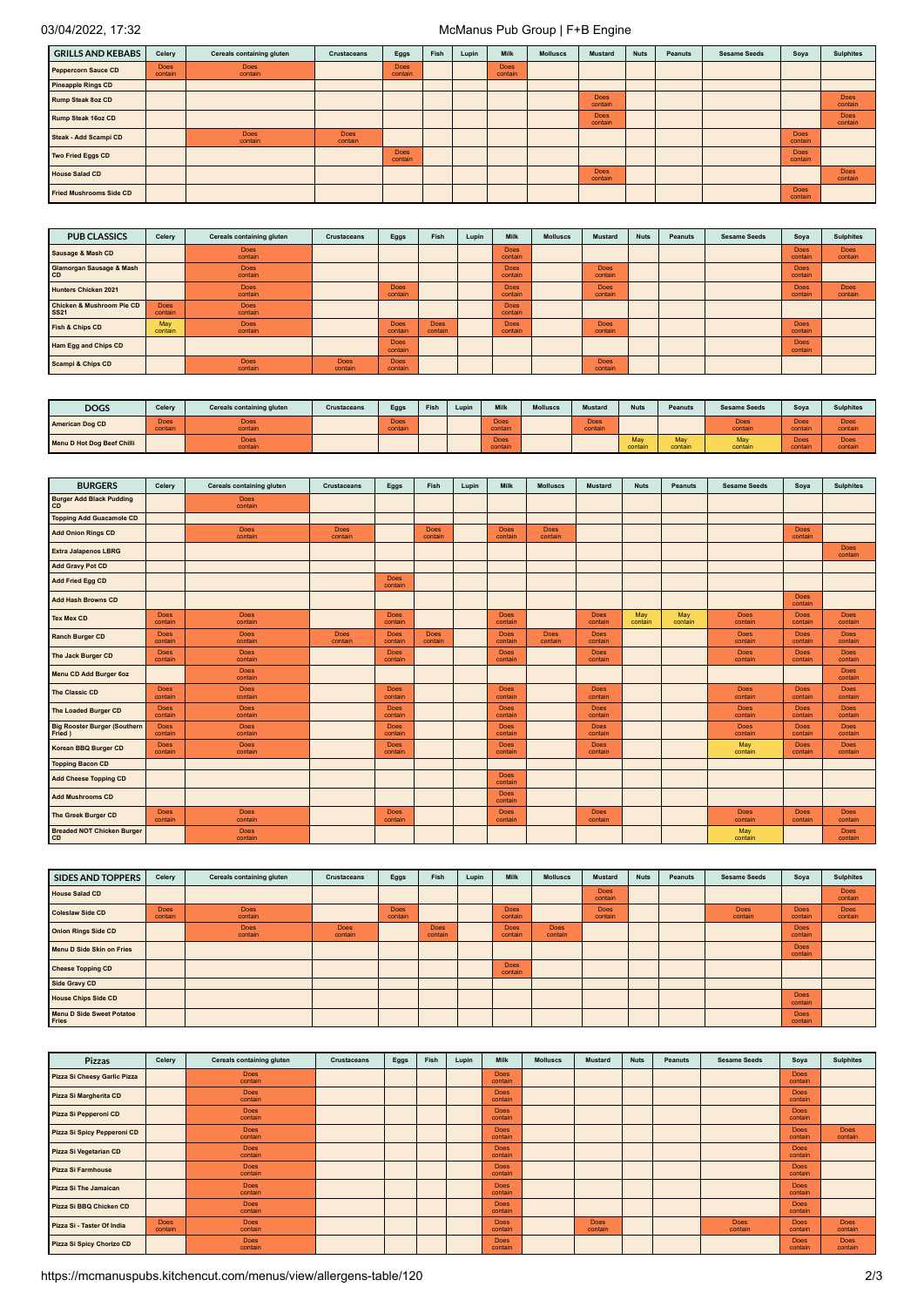# 03/04/2022, 17:32 McManus Pub Group | F+B Engine

| <b>GRILLS AND KEBABS</b>       | Celery                 | Cereals containing gluten | <b>Crustaceans</b>     | Eggs                   | Fish | Lupin | Milk                   | <b>Molluscs</b> | <b>Mustard</b>         | <b>Nuts</b> | <b>Peanuts</b> | <b>Sesame Seeds</b> | Soya                   | <b>Sulphites</b>       |
|--------------------------------|------------------------|---------------------------|------------------------|------------------------|------|-------|------------------------|-----------------|------------------------|-------------|----------------|---------------------|------------------------|------------------------|
| <b>Peppercorn Sauce CD</b>     | <b>Does</b><br>contain | <b>Does</b><br>contain    |                        | <b>Does</b><br>contain |      |       | <b>Does</b><br>contain |                 |                        |             |                |                     |                        |                        |
| <b>Pineapple Rings CD</b>      |                        |                           |                        |                        |      |       |                        |                 |                        |             |                |                     |                        |                        |
| <b>Rump Steak 8oz CD</b>       |                        |                           |                        |                        |      |       |                        |                 | Does<br>contain        |             |                |                     |                        | <b>Does</b><br>contain |
| <b>Rump Steak 16oz CD</b>      |                        |                           |                        |                        |      |       |                        |                 | <b>Does</b><br>contain |             |                |                     |                        | <b>Does</b><br>contain |
| Steak - Add Scampi CD          |                        | <b>Does</b><br>contain    | <b>Does</b><br>contain |                        |      |       |                        |                 |                        |             |                |                     | <b>Does</b><br>contain |                        |
| Two Fried Eggs CD              |                        |                           |                        | <b>Does</b><br>contain |      |       |                        |                 |                        |             |                |                     | <b>Does</b><br>contain |                        |
| <b>House Salad CD</b>          |                        |                           |                        |                        |      |       |                        |                 | Does<br>contain        |             |                |                     |                        | <b>Does</b><br>contain |
| <b>Fried Mushrooms Side CD</b> |                        |                           |                        |                        |      |       |                        |                 |                        |             |                |                     | <b>Does</b><br>contain |                        |

| <b>PUB CLASSICS</b>                      | Celery                 | Cereals containing gluten | <b>Crustaceans</b>     | Eggs                   | Fish                   | Lupin | Milk                   | <b>Molluscs</b> | <b>Mustard</b>         | <b>Nuts</b> | Peanuts | <b>Sesame Seeds</b> | Soya                   | <b>Sulphites</b>       |
|------------------------------------------|------------------------|---------------------------|------------------------|------------------------|------------------------|-------|------------------------|-----------------|------------------------|-------------|---------|---------------------|------------------------|------------------------|
| Sausage & Mash CD                        |                        | <b>Does</b><br>contain    |                        |                        |                        |       | Does.<br>contain       |                 |                        |             |         |                     | <b>Does</b><br>contain | <b>Does</b><br>contain |
| Glamorgan Sausage & Mash<br><b>CD</b>    |                        | <b>Does</b><br>contain    |                        |                        |                        |       | <b>Does</b><br>contain |                 | <b>Does</b><br>contain |             |         |                     | <b>Does</b><br>contain |                        |
| <b>Hunters Chicken 2021</b>              |                        | <b>Does</b><br>contain    |                        | <b>Does</b><br>contain |                        |       | <b>Does</b><br>contain |                 | <b>Does</b><br>contain |             |         |                     | <b>Does</b><br>contain | <b>Does</b><br>contain |
| Chicken & Mushroom Pie CD<br><b>SS21</b> | <b>Does</b><br>contain | <b>Does</b><br>contain    |                        |                        |                        |       | <b>Does</b><br>contain |                 |                        |             |         |                     |                        |                        |
| <b>Fish &amp; Chips CD</b>               | May<br>contain         | <b>Does</b><br>contain    |                        | <b>Does</b><br>contain | <b>Does</b><br>contain |       | <b>Does</b><br>contain |                 | <b>Does</b><br>contain |             |         |                     | <b>Does</b><br>contain |                        |
| Ham Egg and Chips CD                     |                        |                           |                        | <b>Does</b><br>contain |                        |       |                        |                 |                        |             |         |                     | <b>Does</b><br>contain |                        |
| <b>Scampi &amp; Chips CD</b>             |                        | <b>Does</b><br>contain    | <b>Does</b><br>contain | <b>Does</b><br>contain |                        |       |                        |                 | <b>Does</b><br>contain |             |         |                     |                        |                        |

| <b>DOGS</b>                       | Celery                 | Cereals containing gluten | <b>Crustaceans</b> | Eggs                         | Fish | Lupin | Milk            | <b>Molluscs</b> | <b>Mustard</b>         | <b>Nuts</b>  | <b>Peanuts</b> | <b>Sesame Seeds</b> | Soya            | <b>Sulphites</b>       |
|-----------------------------------|------------------------|---------------------------|--------------------|------------------------------|------|-------|-----------------|-----------------|------------------------|--------------|----------------|---------------------|-----------------|------------------------|
| <b>American Dog CD</b>            | <b>Does</b><br>contain | <b>Does</b><br>contain    |                    | Does <sup>1</sup><br>contain |      |       | Does<br>contain |                 | <b>Does</b><br>contain |              |                | Does<br>contai      | Does<br>contain | <b>Does</b><br>contain |
| <b>Menu D Hot Dog Beef Chilli</b> |                        | <b>Does</b><br>contain    |                    |                              |      |       | Does<br>contain |                 |                        | May<br>conta | May<br>contair | May<br>contain      | Does<br>contain | <b>Does</b><br>contain |

| <b>BURGERS</b>                         | Celery                 | <b>Cereals containing gluten</b> | <b>Crustaceans</b>     | Eggs                   | Fish                   | Lupin | <b>Milk</b>            | <b>Molluscs</b>        | <b>Mustard</b>         | <b>Nuts</b>    | Peanuts        | <b>Sesame Seeds</b>    | Soya                   | <b>Sulphites</b>       |
|----------------------------------------|------------------------|----------------------------------|------------------------|------------------------|------------------------|-------|------------------------|------------------------|------------------------|----------------|----------------|------------------------|------------------------|------------------------|
| <b>Burger Add Black Pudding</b><br>CD  |                        | <b>Does</b><br>contain           |                        |                        |                        |       |                        |                        |                        |                |                |                        |                        |                        |
| Topping Add Guacamole CD               |                        |                                  |                        |                        |                        |       |                        |                        |                        |                |                |                        |                        |                        |
| <b>Add Onion Rings CD</b>              |                        | Does<br>contain                  | <b>Does</b><br>contain |                        | <b>Does</b><br>contain |       | <b>Does</b><br>contain | <b>Does</b><br>contain |                        |                |                |                        | <b>Does</b><br>contain |                        |
| <b>Extra Jalapenos LBRG</b>            |                        |                                  |                        |                        |                        |       |                        |                        |                        |                |                |                        |                        | <b>Does</b><br>contain |
| <b>Add Gravy Pot CD</b>                |                        |                                  |                        |                        |                        |       |                        |                        |                        |                |                |                        |                        |                        |
| <b>Add Fried Egg CD</b>                |                        |                                  |                        | <b>Does</b><br>contain |                        |       |                        |                        |                        |                |                |                        |                        |                        |
| <b>Add Hash Browns CD</b>              |                        |                                  |                        |                        |                        |       |                        |                        |                        |                |                |                        | <b>Does</b><br>contain |                        |
| <b>Tex Mex CD</b>                      | <b>Does</b><br>contain | <b>Does</b><br>contain           |                        | <b>Does</b><br>contain |                        |       | <b>Does</b><br>contain |                        | <b>Does</b><br>contain | May<br>contain | May<br>contain | <b>Does</b><br>contain | <b>Does</b><br>contain | <b>Does</b><br>contain |
| <b>Ranch Burger CD</b>                 | <b>Does</b><br>contain | <b>Does</b><br>contain           | <b>Does</b><br>contain | <b>Does</b><br>contain | <b>Does</b><br>contain |       | <b>Does</b><br>contain | <b>Does</b><br>contain | <b>Does</b><br>contain |                |                | <b>Does</b><br>contain | <b>Does</b><br>contain | <b>Does</b><br>contain |
| The Jack Burger CD                     | <b>Does</b><br>contain | <b>Does</b><br>contain           |                        | <b>Does</b><br>contain |                        |       | <b>Does</b><br>contain |                        | Does<br>contain        |                |                | <b>Does</b><br>contain | <b>Does</b><br>contain | <b>Does</b><br>contain |
| Menu CD Add Burger 6oz                 |                        | <b>Does</b><br>contain           |                        |                        |                        |       |                        |                        |                        |                |                |                        |                        | <b>Does</b><br>contain |
| The Classic CD                         | Does<br>contain        | <b>Does</b><br>contain           |                        | <b>Does</b><br>contain |                        |       | <b>Does</b><br>contain |                        | <b>Does</b><br>contain |                |                | <b>Does</b><br>contain | <b>Does</b><br>contain | <b>Does</b><br>contain |
| <b>The Loaded Burger CD</b>            | <b>Does</b><br>contain | <b>Does</b><br>contain           |                        | <b>Does</b><br>contain |                        |       | <b>Does</b><br>contain |                        | <b>Does</b><br>contain |                |                | <b>Does</b><br>contain | <b>Does</b><br>contain | <b>Does</b><br>contain |
| Big Rooster Burger (Southern<br>Fried) | Does<br>contain        | <b>Does</b><br>contain           |                        | <b>Does</b><br>contain |                        |       | <b>Does</b><br>contain |                        | <b>Does</b><br>contain |                |                | <b>Does</b><br>contain | <b>Does</b><br>contain | <b>Does</b><br>contain |
| <b>Korean BBQ Burger CD</b>            | <b>Does</b><br>contain | <b>Does</b><br>contain           |                        | <b>Does</b><br>contain |                        |       | <b>Does</b><br>contain |                        | <b>Does</b><br>contain |                |                | May<br>contain         | <b>Does</b><br>contain | <b>Does</b><br>contain |
| <b>Topping Bacon CD</b>                |                        |                                  |                        |                        |                        |       |                        |                        |                        |                |                |                        |                        |                        |
| <b>Add Cheese Topping CD</b>           |                        |                                  |                        |                        |                        |       | <b>Does</b><br>contain |                        |                        |                |                |                        |                        |                        |
| <b>Add Mushrooms CD</b>                |                        |                                  |                        |                        |                        |       | <b>Does</b><br>contain |                        |                        |                |                |                        |                        |                        |
| <b>The Greek Burger CD</b>             | <b>Does</b><br>contain | <b>Does</b><br>contain           |                        | <b>Does</b><br>contain |                        |       | <b>Does</b><br>contain |                        | <b>Does</b><br>contain |                |                | <b>Does</b><br>contain | <b>Does</b><br>contain | <b>Does</b><br>contain |
| Breaded NOT Chicken Burger<br>CD       |                        | <b>Does</b><br>contain           |                        |                        |                        |       |                        |                        |                        |                |                | May<br>contain         |                        | <b>Does</b><br>contain |

| <b>SIDES AND TOPPERS</b>                         | Celery                 | Cereals containing gluten | Crustaceans            | Eggs                   | Fish                   | Lupin | Milk                   | <b>Molluscs</b>        | <b>Mustard</b>         | <b>Nuts</b> | Peanuts | <b>Sesame Seeds</b>    | Soya                   | <b>Sulphites</b>       |
|--------------------------------------------------|------------------------|---------------------------|------------------------|------------------------|------------------------|-------|------------------------|------------------------|------------------------|-------------|---------|------------------------|------------------------|------------------------|
| <b>House Salad CD</b>                            |                        |                           |                        |                        |                        |       |                        |                        | <b>Does</b><br>contain |             |         |                        |                        | <b>Does</b><br>contain |
| <b>Coleslaw Side CD</b>                          | <b>Does</b><br>contain | <b>Does</b><br>contain    |                        | <b>Does</b><br>contain |                        |       | <b>Does</b><br>contain |                        | <b>Does</b><br>contain |             |         | <b>Does</b><br>contain | <b>Does</b><br>contain | <b>Does</b><br>contain |
| <b>Onion Rings Side CD</b>                       |                        | <b>Does</b><br>contain    | <b>Does</b><br>contain |                        | <b>Does</b><br>contain |       | <b>Does</b><br>contain | <b>Does</b><br>contain |                        |             |         |                        | Does<br>contain        |                        |
| Menu D Side Skin on Fries                        |                        |                           |                        |                        |                        |       |                        |                        |                        |             |         |                        | <b>Does</b><br>contain |                        |
| <b>Cheese Topping CD</b>                         |                        |                           |                        |                        |                        |       | <b>Does</b><br>contain |                        |                        |             |         |                        |                        |                        |
| <b>Side Gravy CD</b>                             |                        |                           |                        |                        |                        |       |                        |                        |                        |             |         |                        |                        |                        |
| <b>House Chips Side CD</b>                       |                        |                           |                        |                        |                        |       |                        |                        |                        |             |         |                        | Does<br>contain        |                        |
| <b>Menu D Side Sweet Potatoe</b><br><b>Fries</b> |                        |                           |                        |                        |                        |       |                        |                        |                        |             |         |                        | Does<br>contain        |                        |

| <b>Pizzas</b>                | Celery                 | Cereals containing gluten | <b>Crustaceans</b> | Eggs | Fish | Lupin | <b>Milk</b>            | <b>Molluscs</b> | <b>Mustard</b>         | <b>Nuts</b> | Peanuts | <b>Sesame Seeds</b>    | Soya                   | <b>Sulphites</b>       |
|------------------------------|------------------------|---------------------------|--------------------|------|------|-------|------------------------|-----------------|------------------------|-------------|---------|------------------------|------------------------|------------------------|
| Pizza Si Cheesy Garlic Pizza |                        | <b>Does</b><br>contain    |                    |      |      |       | <b>Does</b><br>contain |                 |                        |             |         |                        | <b>Does</b><br>contain |                        |
| Pizza Si Margherita CD       |                        | <b>Does</b><br>contain    |                    |      |      |       | <b>Does</b><br>contain |                 |                        |             |         |                        | <b>Does</b><br>contain |                        |
| Pizza Si Pepperoni CD        |                        | <b>Does</b><br>contain    |                    |      |      |       | Does<br>contain        |                 |                        |             |         |                        | <b>Does</b><br>contain |                        |
| Pizza Si Spicy Pepperoni CD  |                        | <b>Does</b><br>contain    |                    |      |      |       | <b>Does</b><br>contain |                 |                        |             |         |                        | <b>Does</b><br>contain | <b>Does</b><br>contain |
| Pizza Si Vegetarian CD       |                        | <b>Does</b><br>contain    |                    |      |      |       | <b>Does</b><br>contain |                 |                        |             |         |                        | <b>Does</b><br>contain |                        |
| Pizza Si Farmhouse           |                        | <b>Does</b><br>contain    |                    |      |      |       | <b>Does</b><br>contain |                 |                        |             |         |                        | <b>Does</b><br>contain |                        |
| <b>Pizza Si The Jamaican</b> |                        | <b>Does</b><br>contain    |                    |      |      |       | <b>Does</b><br>contain |                 |                        |             |         |                        | <b>Does</b><br>contain |                        |
| Pizza Si BBQ Chicken CD      |                        | <b>Does</b><br>contain    |                    |      |      |       | <b>Does</b><br>contain |                 |                        |             |         |                        | <b>Does</b><br>contain |                        |
| Pizza Si - Taster Of India   | <b>Does</b><br>contain | <b>Does</b><br>contain    |                    |      |      |       | Does<br>contain        |                 | <b>Does</b><br>contain |             |         | <b>Does</b><br>contain | <b>Does</b><br>contain | <b>Does</b><br>contain |
| Pizza Si Spicy Chorizo CD    |                        | <b>Does</b><br>contain    |                    |      |      |       | Does<br>contain        |                 |                        |             |         |                        | <b>Does</b><br>contain | <b>Does</b><br>contain |